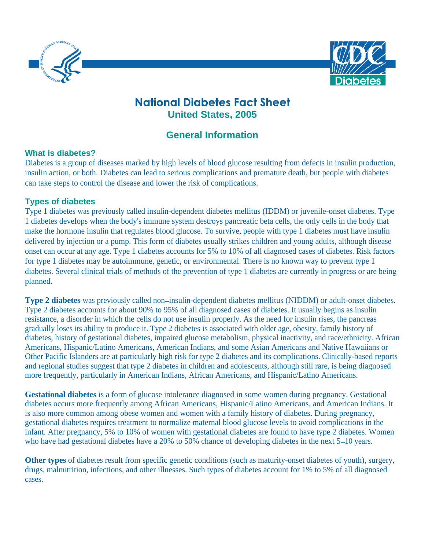



# **National Diabetes Fact Sheet United States, 2005**

# **General Information**

## **What is diabetes?**

Diabetes is a group of diseases marked by high levels of blood glucose resulting from defects in insulin production, insulin action, or both. Diabetes can lead to serious complications and premature death, but people with diabetes can take steps to control the disease and lower the risk of complications.

# **Types of diabetes**

Type 1 diabetes was previously called insulin-dependent diabetes mellitus (IDDM) or juvenile-onset diabetes. Type 1 diabetes develops when the body's immune system destroys pancreatic beta cells, the only cells in the body that make the hormone insulin that regulates blood glucose. To survive, people with type 1 diabetes must have insulin delivered by injection or a pump. This form of diabetes usually strikes children and young adults, although disease onset can occur at any age. Type 1 diabetes accounts for 5% to 10% of all diagnosed cases of diabetes. Risk factors for type 1 diabetes may be autoimmune, genetic, or environmental. There is no known way to prevent type 1 diabetes. Several clinical trials of methods of the prevention of type 1 diabetes are currently in progress or are being planned. The contract of the contract of the contract of the contract of the contract of the contract of the contract of the contract of the contract of the contract of the contract of the contract of the contract of the c

**Type 2 diabetes** was previously called non-insulin-dependent diabetes mellitus (NIDDM) or adult-onset diabetes. Type 2 diabetes accounts for about 90% to 95% of all diagnosed cases of diabetes. It usually begins as insulin resistance, a disorder in which the cells do not use insulin properly. As the need for insulin rises, the pancreas gradually loses its ability to produce it. Type 2 diabetes is associated with older age, obesity, family history of diabetes, history of gestational diabetes, impaired glucose metabolism, physical inactivity, and race/ethnicity. African Americans, Hispanic/Latino Americans, American Indians, and some Asian Americans and Native Hawaiians or Other Pacific Islanders are at particularly high risk for type 2 diabetes and its complications. Clinically-based reports and regional studies suggest that type 2 diabetes in children and adolescents, although still rare, is being diagnosed more frequently, particularly in American Indians, African Americans, and Hispanic/Latino Americans.

**Gestational diabetes** is a form of glucose intolerance diagnosed in some women during pregnancy. Gestational diabetes occurs more frequently among African Americans, Hispanic/Latino Americans, and American Indians. It is also more common among obese women and women with a family history of diabetes. During pregnancy, gestational diabetes requires treatment to normalize maternal blood glucose levels to avoid complications in the infant. After pregnancy, 5% to 10% of women with gestational diabetes are found to have type 2 diabetes. Women who have had gestational diabetes have a 20% to 50% chance of developing diabetes in the next  $5-10$  years.

**Other types** of diabetes result from specific genetic conditions (such as maturity-onset diabetes of youth), surgery, drugs, malnutrition, infections, and other illnesses. Such types of diabetes account for 1% to 5% of all diagnosed cases.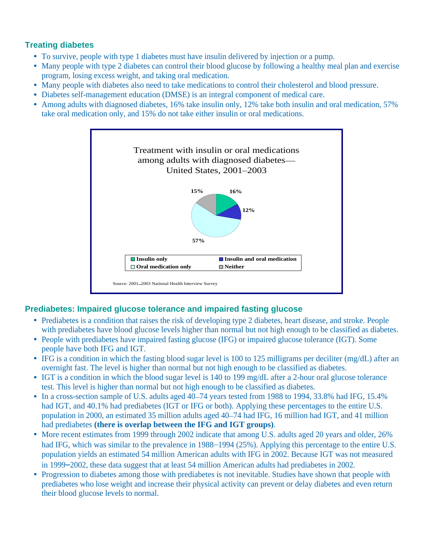# **Treating diabetes**

- To survive, people with type 1 diabetes must have insulin delivered by injection or a pump.
- Many people with type 2 diabetes can control their blood glucose by following a healthy meal plan and exercise program, losing excess weight, and taking oral medication.
- Many people with diabetes also need to take medications to control their cholesterol and blood pressure.
- Diabetes self-management education (DMSE) is an integral component of medical care.
- Among adults with diagnosed diabetes, 16% take insulin only, 12% take both insulin and oral medication, 57% take oral medication only, and 15% do not take either insulin or oral medications.



# **Prediabetes: Impaired glucose tolerance and impaired fasting glucose**

- Prediabetes is a condition that raises the risk of developing type 2 diabetes, heart disease, and stroke. People with prediabetes have blood glucose levels higher than normal but not high enough to be classified as diabetes.
- People with prediabetes have impaired fasting glucose (IFG) or impaired glucose tolerance (IGT). Some people have both IFG and IGT.
- IFG is a condition in which the fasting blood sugar level is 100 to 125 milligrams per deciliter (mg/dL) after an overnight fast. The level is higher than normal but not high enough to be classified as diabetes.
- IGT is a condition in which the blood sugar level is 140 to 199 mg/dL after a 2-hour oral glucose tolerance test. This level is higher than normal but not high enough to be classified as diabetes.
- In a cross-section sample of U.S. adults aged 40–74 years tested from 1988 to 1994, 33.8% had IFG, 15.4% had IGT, and 40.1% had prediabetes (IGT or IFG or both). Applying these percentages to the entire U.S. population in 2000, an estimated 35 million adults aged 40 74 had IFG, 16 million had IGT, and 41 million
- had prediabetes **(there is overlap between the IFG and IGT groups)**.<br>• More recent estimates from 1999 through 2002 indicate that among U.S. adults aged 20 years and older, 26% had IFG, which was similar to the prevalence in 1988–1994 (25%). Applying this percentage to the entire U.S. population yields an estimated 54 million American adults with IFG in 2002. Because IGT was not measured in 1999 2002, these data suggest that at least 54 million American adults had prediabetes in 2002.
- Progression to diabetes among those with prediabetes is not inevitable. Studies have shown that people with prediabetes who lose weight and increase their physical activity can prevent or delay diabetes and even return their blood glucose levels to normal.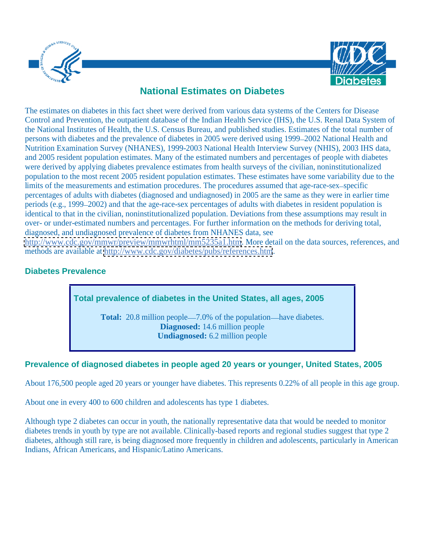



# **National Estimates on Diabetes**

The estimates on diabetes in this fact sheet were derived from various data systems of the Centers for Disease Control and Prevention, the outpatient database of the Indian Health Service (IHS), the U.S. Renal Data System of the National Institutes of Health, the U.S. Census Bureau, and published studies. Estimates of the total number of persons with diabetes and the prevalence of diabetes in 2005 were derived using 1999 2002 National Health and Nutrition Examination Survey (NHANES), 1999-2003 National Health Interview Survey (NHIS), 2003 IHS data, and 2005 resident population estimates. Many of the estimated numbers and percentages of people with diabetes were derived by applying diabetes prevalence estimates from health surveys of the civilian, noninstitutionalized population to the most recent 2005 resident population estimates. These estimates have some variability due to the limits of the measurements and estimation procedures. The procedures assumed that age-race-sex-specific percentages of adults with diabetes (diagnosed and undiagnosed) in 2005 are the same as they were in earlier time periods (e.g., 1999 2002) and that the age-race-sex percentages of adults with diabetes in resident population is identical to that in the civilian, noninstitutionalized population. Deviations from these assumptions may result in over- or under-estimated numbers and percentages. For further information on the methods for deriving total, diagnosed, and undiagnosed prevalence of diabetes from NHANES data, see

<http://www.cdc.gov/mmwr/preview/mmwrhtml/mm5235a1.htm>. More detail on the data sources, references, and methods are available at<http://www.cdc.gov/diabetes/pubs/references.htm>.

# **Diabetes Prevalence**

**Total prevalence of diabetes in the United States, all ages, 2005**

**Total:** 20.8 million people—7.0% of the population—have diabetes. **Diagnosed:** 14.6 million people **Undiagnosed:** 6.2 million people

# **Prevalence of diagnosed diabetes in people aged 20 years or younger, United States, 2005**

About 176,500 people aged 20 years or younger have diabetes. This represents 0.22% of all people in this age group.

About one in every 400 to 600 children and adolescents has type 1 diabetes.

Although type 2 diabetes can occur in youth, the nationally representative data that would be needed to monitor diabetes trends in youth by type are not available. Clinically-based reports and regional studies suggest that type 2 diabetes, although still rare, is being diagnosed more frequently in children and adolescents, particularly in American Indians, African Americans, and Hispanic/Latino Americans.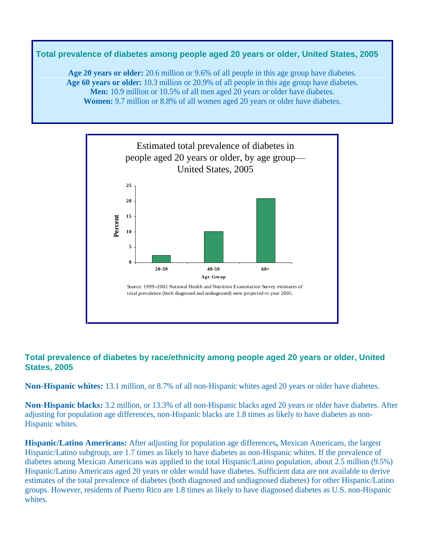# **Total prevalence of diabetes among people aged 20 years or older, United States, 2005**

**Age 20 years or older:** 20.6 million or 9.6% of all people in this age group have diabetes. **Age 60 years or older:** 10.3 million or 20.9% of all people in this age group have diabetes. **Men:** 10.9 million or 10.5% of all men aged 20 years or older have diabetes. **Women:** 9.7 million or 8.8% of all women aged 20 years or older have diabetes.



## **Total prevalence of diabetes by race/ethnicity among people aged 20 years or older, United States, 2005**

**Non-Hispanic whites:** 13.1 million, or 8.7% of all non-Hispanic whites aged 20 years or older have diabetes.

**Non-Hispanic blacks:** 3.2 million, or 13.3% of all non-Hispanic blacks aged 20 years or older have diabetes. After adjusting for population age differences, non-Hispanic blacks are 1.8 times as likely to have diabetes as non- Hispanic whites.

**Hispanic/Latino Americans:** After adjusting for population age differences**,** Mexican Americans, the largest Hispanic/Latino subgroup, are 1.7 times as likely to have diabetes as non-Hispanic whites. If the prevalence of diabetes among Mexican Americans was applied to the total Hispanic/Latino population, about 2.5 million (9.5%) Hispanic/Latino Americans aged 20 years or older would have diabetes. Sufficient data are not available to derive estimates of the total prevalence of diabetes (both diagnosed and undiagnosed diabetes) for other Hispanic/Latino groups. However, residents of Puerto Rico are 1.8 times as likely to have diagnosed diabetes as U.S. non-Hispanic whites.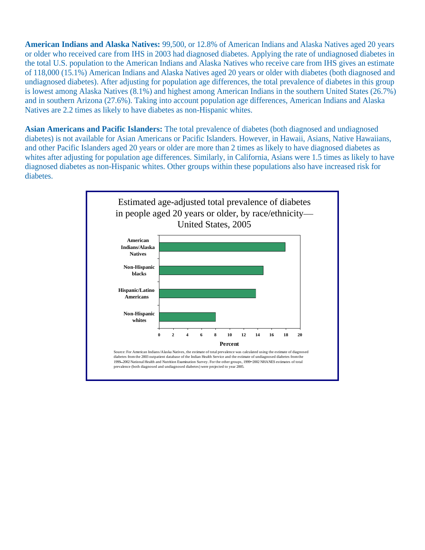**American Indians and Alaska Natives:** 99,500, or 12.8% of American Indians and Alaska Natives aged 20 years or older who received care from IHS in 2003 had diagnosed diabetes. Applying the rate of undiagnosed diabetes in the total U.S. population to the American Indians and Alaska Natives who receive care from IHS gives an estimate of 118,000 (15.1%) American Indians and Alaska Natives aged 20 years or older with diabetes (both diagnosed and undiagnosed diabetes). After adjusting for population age differences, the total prevalence of diabetes in this group is lowest among Alaska Natives (8.1%) and highest among American Indians in the southern United States (26.7%) and in southern Arizona (27.6%). Taking into account population age differences, American Indians and Alaska Natives are 2.2 times as likely to have diabetes as non-Hispanic whites.

**Asian Americans and Pacific Islanders:** The total prevalence of diabetes (both diagnosed and undiagnosed diabetes) is not available for Asian Americans or Pacific Islanders. However, in Hawaii, Asians, Native Hawaiians, and other Pacific Islanders aged 20 years or older are more than 2 times as likely to have diagnosed diabetes as whites after adjusting for population age differences. Similarly, in California, Asians were 1.5 times as likely to have diagnosed diabetes as non-Hispanic whites. Other groups within these populations also have increased risk for diabetes. The contract of the contract of the contract of the contract of the contract of the contract of the contract of the contract of the contract of the contract of the contract of the contract of the contract of the

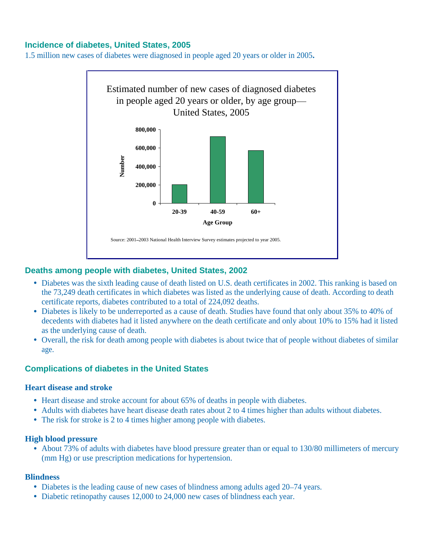## **Incidence of diabetes, United States, 2005**

1.5 million new cases of diabetes were diagnosed in people aged 20 years or older in 2005**.**



#### **Deaths among people with diabetes, United States, 2002**

- Diabetes was the sixth leading cause of death listed on U.S. death certificates in 2002. This ranking is based on the 73,249 death certificates in which diabetes was listed as the underlying cause of death. According to death certificate reports, diabetes contributed to a total of 224,092 deaths.
- Diabetes is likely to be underreported as a cause of death. Studies have found that only about 35% to 40% of decedents with diabetes had it listed anywhere on the death certificate and only about 10% to 15% had it listed as the underlying cause of death.
- Overall, the risk for death among people with diabetes is about twice that of people without diabetes of similar age.

## **Complications of diabetes in the United States**

#### **Heart disease and stroke**

- Heart disease and stroke account for about 65% of deaths in people with diabetes.
- Adults with diabetes have heart disease death rates about 2 to 4 times higher than adults without diabetes.
- The risk for stroke is 2 to 4 times higher among people with diabetes.

#### **High blood pressure**

About 73% of adults with diabetes have blood pressure greater than or equal to 130/80 millimeters of mercury (mm Hg) or use prescription medications for hypertension.

#### **Blindness**

- Diabetes is the leading cause of new cases of blindness among adults aged 20–74 years.
- Diabetic retinopathy causes 12,000 to 24,000 new cases of blindness each year.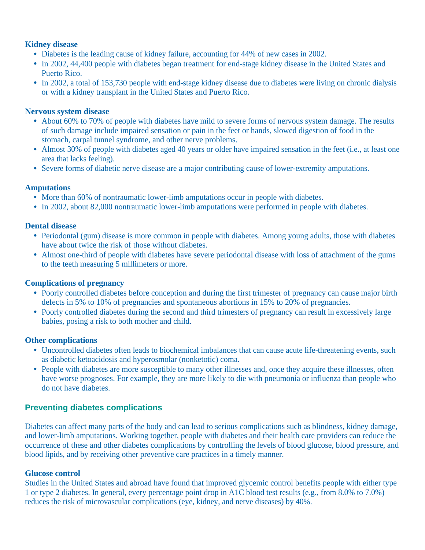## **Kidney disease**

- Diabetes is the leading cause of kidney failure, accounting for 44% of new cases in 2002.
- In 2002, 44,400 people with diabetes began treatment for end-stage kidney disease in the United States and Puerto Rico.
- In 2002, a total of 153,730 people with end-stage kidney disease due to diabetes were living on chronic dialysis or with a kidney transplant in the United States and Puerto Rico.

## **Nervous system disease**

- About 60% to 70% of people with diabetes have mild to severe forms of nervous system damage. The results of such damage include impaired sensation or pain in the feet or hands, slowed digestion of food in the stomach, carpal tunnel syndrome, and other nerve problems.
- Almost 30% of people with diabetes aged 40 years or older have impaired sensation in the feet (i.e., at least one area that lacks feeling).
- Severe forms of diabetic nerve disease are a major contributing cause of lower-extremity amputations.

# **Amputations**

- More than 60% of nontraumatic lower-limb amputations occur in people with diabetes.
- In 2002, about 82,000 nontraumatic lower-limb amputations were performed in people with diabetes.

# **Dental disease**

- Periodontal (gum) disease is more common in people with diabetes. Among young adults, those with diabetes have about twice the risk of those without diabetes.
- Almost one-third of people with diabetes have severe periodontal disease with loss of attachment of the gums to the teeth measuring 5 millimeters or more.

# **Complications of pregnancy**

- Poorly controlled diabetes before conception and during the first trimester of pregnancy can cause major birth defects in 5% to 10% of pregnancies and spontaneous abortions in 15% to 20% of pregnancies.
- Poorly controlled diabetes during the second and third trimesters of pregnancy can result in excessively large babies, posing a risk to both mother and child.

## **Other complications**

- Uncontrolled diabetes often leads to biochemical imbalances that can cause acute life-threatening events, such as diabetic ketoacidosis and hyperosmolar (nonketotic) coma.
- People with diabetes are more susceptible to many other illnesses and, once they acquire these illnesses, often have worse prognoses. For example, they are more likely to die with pneumonia or influenza than people who do not have diabetes.

# **Preventing diabetes complications**

Diabetes can affect many parts of the body and can lead to serious complications such as blindness, kidney damage, and lower-limb amputations. Working together, people with diabetes and their health care providers can reduce the occurrence of these and other diabetes complications by controlling the levels of blood glucose, blood pressure, and blood lipids, and by receiving other preventive care practices in a timely manner.

## **Glucose control**

Studies in the United States and abroad have found that improved glycemic control benefits people with either type 1 or type 2 diabetes. In general, every percentage point drop in A1C blood test results (e.g., from 8.0% to 7.0%) reduces the risk of microvascular complications (eye, kidney, and nerve diseases) by 40%.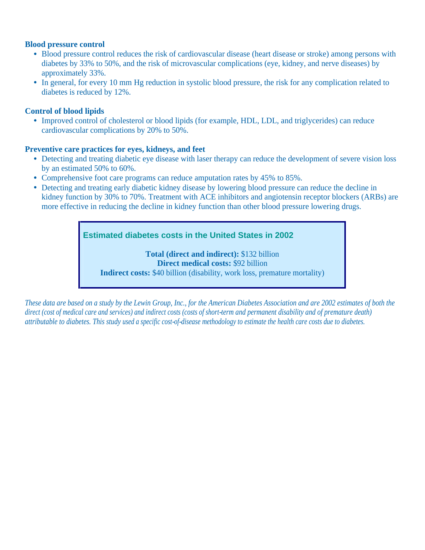#### **Blood pressure control**

- Blood pressure control reduces the risk of cardiovascular disease (heart disease or stroke) among persons with diabetes by 33% to 50%, and the risk of microvascular complications (eye, kidney, and nerve diseases) by approximately 33%.
- In general, for every 10 mm Hg reduction in systolic blood pressure, the risk for any complication related to diabetes is reduced by 12%.

#### **Control of blood lipids**

Improved control of cholesterol or blood lipids (for example, HDL, LDL, and triglycerides) can reduce cardiovascular complications by 20% to 50%.

#### **Preventive care practices for eyes, kidneys, and feet**

- Detecting and treating diabetic eye disease with laser therapy can reduce the development of severe vision loss by an estimated 50% to 60%.
- Comprehensive foot care programs can reduce amputation rates by 45% to 85%.
- Detecting and treating early diabetic kidney disease by lowering blood pressure can reduce the decline in kidney function by 30% to 70%. Treatment with ACE inhibitors and angiotensin receptor blockers (ARBs) are more effective in reducing the decline in kidney function than other blood pressure lowering drugs.

**Estimated diabetes costs in the United States in 2002**

**Total (direct and indirect):** \$132 billion **Direct medical costs:** \$92 billion **Indirect costs:** \$40 billion (disability, work loss, premature mortality)

*These data are based on a study by the Lewin Group, Inc., for the American Diabetes Association and are 2002 estimates of both the direct (cost of medical care and services) and indirect costs (costs of short-term and permanent disability and of premature death) attributable to diabetes. This study used a specific cost-of-disease methodology to estimate the health care costs due to diabetes.*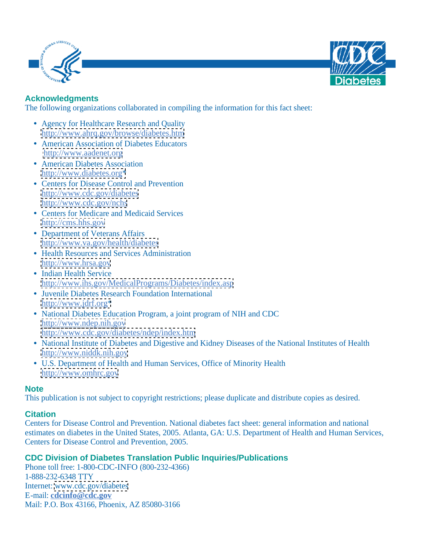



## **Acknowledgments**

The following organizations collaborated in compiling the information for this fact sheet:

- Agency for Healthcare Research and Quality <http://www.ahrq.gov/browse/diabetes.htm>
- American Association of Diabetes Educators <http://www.aadenet.org>
- American Diabetes Association<br>http://www.diabetes.org\* [http://www.diabetes.org\\*](http://www.diabetes.org*)
- Centers for Disease Control and Prevention <http://www.cdc.gov/diabetes> <http://www.cdc.gov/nchs>
- Centers for Medicare and Medicaid Services <http://cms.hhs.gov>
- Department of Veterans Affairs <http://www.va.gov/health/diabetes>
- Health Resources and Services Administration<br>http://www.hrsa.gov <http://www.hrsa.gov>
- Indian Health Service <http://www.ihs.gov/MedicalPrograms/Diabetes/index.asp>
- Juvenile Diabetes Research Foundation International [http://www.jdrf.org\\*](http://www.jdrf.org*)
- National Diabetes Education Program, a joint program of NIH and CDC <http://www.ndep.nih.gov> <http://www.cdc.gov/diabetes/ndep/index.htm>
- National Institute of Diabetes and Digestive and Kidney Diseases of the National Institutes of Health <http://www.niddk.nih.gov>
- U.S. Department of Health and Human Services, Office of Minority Health <http://www.omhrc.gov>

#### **Note**

This publication is not subject to copyright restrictions; please duplicate and distribute copies as desired.

## **Citation Constitution**

Centers for Disease Control and Prevention. National diabetes fact sheet: general information and national estimates on diabetes in the United States, 2005. Atlanta, GA: U.S. Department of Health and Human Services, Centers for Disease Control and Prevention, 2005.

## **CDC Division of Diabetes Translation Public Inquiries/Publications**

Phone toll free: 1-800-CDC-INFO (800-232-4366) 1-888-232-6348 TTY Internet: [www.cdc.gov/diabetes](http://www.cdc.gov/diabetes) E-mail: **cdcinfo@cdc.gov** Mail: P.O. Box 43166, Phoenix, AZ 85080-3166